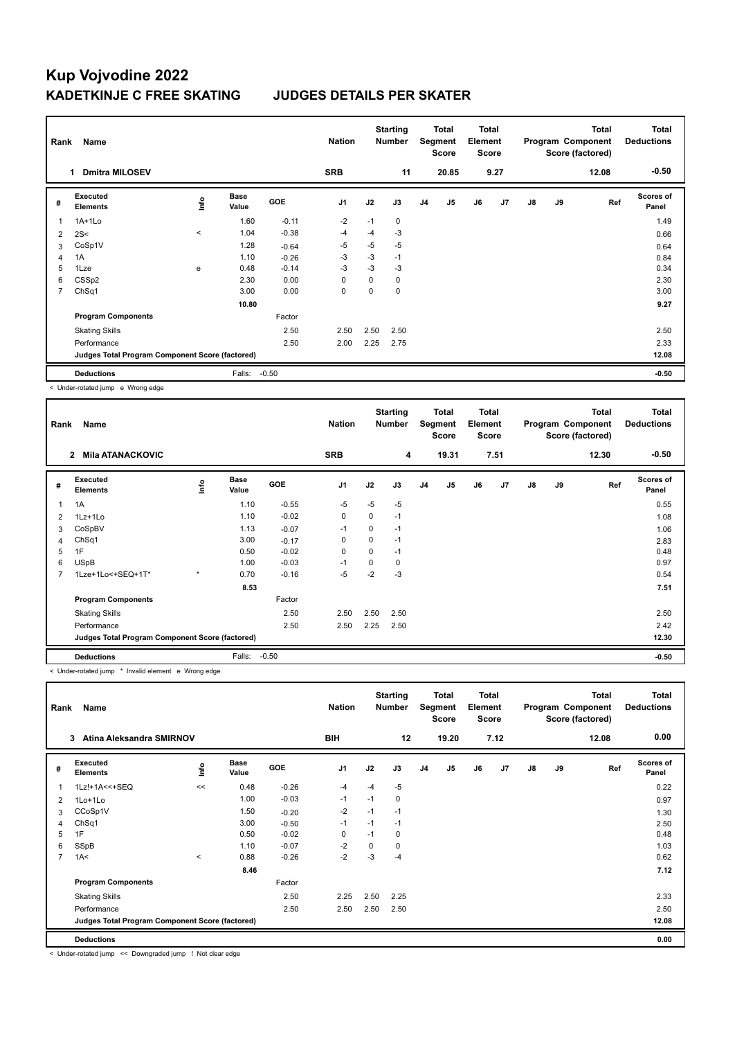| Rank | Name                                            |         |                      |            | <b>Nation</b> |          | <b>Starting</b><br>Number |                | Total<br>Segment<br><b>Score</b> | <b>Total</b><br>Element<br><b>Score</b> |      |               |    | <b>Total</b><br>Program Component<br>Score (factored) | <b>Total</b><br><b>Deductions</b> |
|------|-------------------------------------------------|---------|----------------------|------------|---------------|----------|---------------------------|----------------|----------------------------------|-----------------------------------------|------|---------------|----|-------------------------------------------------------|-----------------------------------|
|      | <b>Dmitra MILOSEV</b><br>1                      |         |                      |            | <b>SRB</b>    |          | 11                        |                | 20.85                            |                                         | 9.27 |               |    | 12.08                                                 | $-0.50$                           |
| #    | Executed<br><b>Elements</b>                     | lnfo    | <b>Base</b><br>Value | <b>GOE</b> | J1            | J2       | J3                        | J <sub>4</sub> | J5                               | J6                                      | J7   | $\mathsf{J}8$ | J9 | Ref                                                   | Scores of<br>Panel                |
| 1    | $1A+1Lo$                                        |         | 1.60                 | $-0.11$    | $-2$          | $-1$     | 0                         |                |                                  |                                         |      |               |    |                                                       | 1.49                              |
| 2    | 2S<                                             | $\,<\,$ | 1.04                 | $-0.38$    | $-4$          | $-4$     | $-3$                      |                |                                  |                                         |      |               |    |                                                       | 0.66                              |
| 3    | CoSp1V                                          |         | 1.28                 | $-0.64$    | -5            | $-5$     | $-5$                      |                |                                  |                                         |      |               |    |                                                       | 0.64                              |
| 4    | 1A                                              |         | 1.10                 | $-0.26$    | $-3$          | $-3$     | $-1$                      |                |                                  |                                         |      |               |    |                                                       | 0.84                              |
| 5    | 1Lze                                            | е       | 0.48                 | $-0.14$    | $-3$          | $-3$     | -3                        |                |                                  |                                         |      |               |    |                                                       | 0.34                              |
| 6    | CSSp2                                           |         | 2.30                 | 0.00       | 0             | $\Omega$ | 0                         |                |                                  |                                         |      |               |    |                                                       | 2.30                              |
| 7    | ChSq1                                           |         | 3.00                 | 0.00       | 0             | 0        | 0                         |                |                                  |                                         |      |               |    |                                                       | 3.00                              |
|      |                                                 |         | 10.80                |            |               |          |                           |                |                                  |                                         |      |               |    |                                                       | 9.27                              |
|      | <b>Program Components</b>                       |         |                      | Factor     |               |          |                           |                |                                  |                                         |      |               |    |                                                       |                                   |
|      | <b>Skating Skills</b>                           |         |                      | 2.50       | 2.50          | 2.50     | 2.50                      |                |                                  |                                         |      |               |    |                                                       | 2.50                              |
|      | Performance                                     |         |                      | 2.50       | 2.00          | 2.25     | 2.75                      |                |                                  |                                         |      |               |    |                                                       | 2.33                              |
|      | Judges Total Program Component Score (factored) |         |                      |            |               |          |                           |                |                                  |                                         |      |               |    |                                                       | 12.08                             |
|      | <b>Deductions</b>                               |         | Falls:               | $-0.50$    |               |          |                           |                |                                  |                                         |      |               |    |                                                       | $-0.50$                           |

< Under-rotated jump e Wrong edge

| Rank | Name                                            |         |                      |            | <b>Nation</b>  |          | <b>Starting</b><br><b>Number</b> |                | Total<br>Segment<br><b>Score</b> | <b>Total</b><br>Element<br><b>Score</b> |      |    |    | <b>Total</b><br>Program Component<br>Score (factored) | <b>Total</b><br><b>Deductions</b> |
|------|-------------------------------------------------|---------|----------------------|------------|----------------|----------|----------------------------------|----------------|----------------------------------|-----------------------------------------|------|----|----|-------------------------------------------------------|-----------------------------------|
|      | <b>Mila ATANACKOVIC</b><br>2                    |         |                      |            | <b>SRB</b>     |          | 4                                |                | 19.31                            |                                         | 7.51 |    |    | 12.30                                                 | $-0.50$                           |
| #    | <b>Executed</b><br><b>Elements</b>              | lnfo    | <b>Base</b><br>Value | <b>GOE</b> | J <sub>1</sub> | J2       | J3                               | J <sub>4</sub> | J5                               | J6                                      | J7   | J8 | J9 | Ref                                                   | <b>Scores of</b><br>Panel         |
| 1    | 1A                                              |         | 1.10                 | $-0.55$    | $-5$           | $-5$     | $-5$                             |                |                                  |                                         |      |    |    |                                                       | 0.55                              |
| 2    | $1Lz+1Lo$                                       |         | 1.10                 | $-0.02$    | 0              | 0        | $-1$                             |                |                                  |                                         |      |    |    |                                                       | 1.08                              |
| 3    | CoSpBV                                          |         | 1.13                 | $-0.07$    | $-1$           | 0        | $-1$                             |                |                                  |                                         |      |    |    |                                                       | 1.06                              |
| 4    | ChSq1                                           |         | 3.00                 | $-0.17$    | 0              | 0        | $-1$                             |                |                                  |                                         |      |    |    |                                                       | 2.83                              |
| 5    | 1F                                              |         | 0.50                 | $-0.02$    | $\mathbf 0$    | 0        | $-1$                             |                |                                  |                                         |      |    |    |                                                       | 0.48                              |
| 6    | <b>USpB</b>                                     |         | 1.00                 | $-0.03$    | $-1$           | $\Omega$ | 0                                |                |                                  |                                         |      |    |    |                                                       | 0.97                              |
|      | 1Lze+1Lo<+SEQ+1T*                               | $\star$ | 0.70                 | $-0.16$    | $-5$           | $-2$     | $-3$                             |                |                                  |                                         |      |    |    |                                                       | 0.54                              |
|      |                                                 |         | 8.53                 |            |                |          |                                  |                |                                  |                                         |      |    |    |                                                       | 7.51                              |
|      | <b>Program Components</b>                       |         |                      | Factor     |                |          |                                  |                |                                  |                                         |      |    |    |                                                       |                                   |
|      | <b>Skating Skills</b>                           |         |                      | 2.50       | 2.50           | 2.50     | 2.50                             |                |                                  |                                         |      |    |    |                                                       | 2.50                              |
|      | Performance                                     |         |                      | 2.50       | 2.50           | 2.25     | 2.50                             |                |                                  |                                         |      |    |    |                                                       | 2.42                              |
|      | Judges Total Program Component Score (factored) |         |                      |            |                |          |                                  |                |                                  |                                         |      |    |    |                                                       | 12.30                             |
|      | <b>Deductions</b>                               |         | Falls:               | $-0.50$    |                |          |                                  |                |                                  |                                         |      |    |    |                                                       | $-0.50$                           |

< Under-rotated jump \* Invalid element e Wrong edge

| Rank           | Name                                            |         |                      |            | <b>Nation</b>  |      | <b>Starting</b><br><b>Number</b> |                | Total<br>Segment<br><b>Score</b> | Total<br>Element<br><b>Score</b> |      |               |    | <b>Total</b><br>Program Component<br>Score (factored) | <b>Total</b><br><b>Deductions</b> |
|----------------|-------------------------------------------------|---------|----------------------|------------|----------------|------|----------------------------------|----------------|----------------------------------|----------------------------------|------|---------------|----|-------------------------------------------------------|-----------------------------------|
|                | Atina Aleksandra SMIRNOV<br>3                   |         |                      |            | BIH            |      | 12                               |                | 19.20                            |                                  | 7.12 |               |    | 12.08                                                 | 0.00                              |
| #              | <b>Executed</b><br><b>Elements</b>              | lnfo    | <b>Base</b><br>Value | <b>GOE</b> | J <sub>1</sub> | J2   | J3                               | J <sub>4</sub> | J5                               | J6                               | J7   | $\mathsf{J}8$ | J9 | Ref                                                   | <b>Scores of</b><br>Panel         |
| -1             | 1Lz!+1A<<+SEQ                                   | <<      | 0.48                 | $-0.26$    | $-4$           | $-4$ | $-5$                             |                |                                  |                                  |      |               |    |                                                       | 0.22                              |
| 2              | $1$ Lo $+1$ Lo                                  |         | 1.00                 | $-0.03$    | $-1$           | $-1$ | 0                                |                |                                  |                                  |      |               |    |                                                       | 0.97                              |
| 3              | CCoSp1V                                         |         | 1.50                 | $-0.20$    | $-2$           | $-1$ | $-1$                             |                |                                  |                                  |      |               |    |                                                       | 1.30                              |
| 4              | ChSq1                                           |         | 3.00                 | $-0.50$    | $-1$           | $-1$ | $-1$                             |                |                                  |                                  |      |               |    |                                                       | 2.50                              |
| 5              | 1F                                              |         | 0.50                 | $-0.02$    | $\mathbf 0$    | $-1$ | 0                                |                |                                  |                                  |      |               |    |                                                       | 0.48                              |
| 6              | SSpB                                            |         | 1.10                 | $-0.07$    | $-2$           | 0    | 0                                |                |                                  |                                  |      |               |    |                                                       | 1.03                              |
| $\overline{7}$ | 1A<                                             | $\prec$ | 0.88                 | $-0.26$    | $-2$           | $-3$ | $-4$                             |                |                                  |                                  |      |               |    |                                                       | 0.62                              |
|                |                                                 |         | 8.46                 |            |                |      |                                  |                |                                  |                                  |      |               |    |                                                       | 7.12                              |
|                | <b>Program Components</b>                       |         |                      | Factor     |                |      |                                  |                |                                  |                                  |      |               |    |                                                       |                                   |
|                | <b>Skating Skills</b>                           |         |                      | 2.50       | 2.25           | 2.50 | 2.25                             |                |                                  |                                  |      |               |    |                                                       | 2.33                              |
|                | Performance                                     |         |                      | 2.50       | 2.50           | 2.50 | 2.50                             |                |                                  |                                  |      |               |    |                                                       | 2.50                              |
|                | Judges Total Program Component Score (factored) |         |                      |            |                |      |                                  |                |                                  |                                  |      |               |    |                                                       | 12.08                             |
|                | <b>Deductions</b>                               |         |                      |            |                |      |                                  |                |                                  |                                  |      |               |    |                                                       | 0.00                              |

< Under-rotated jump << Downgraded jump ! Not clear edge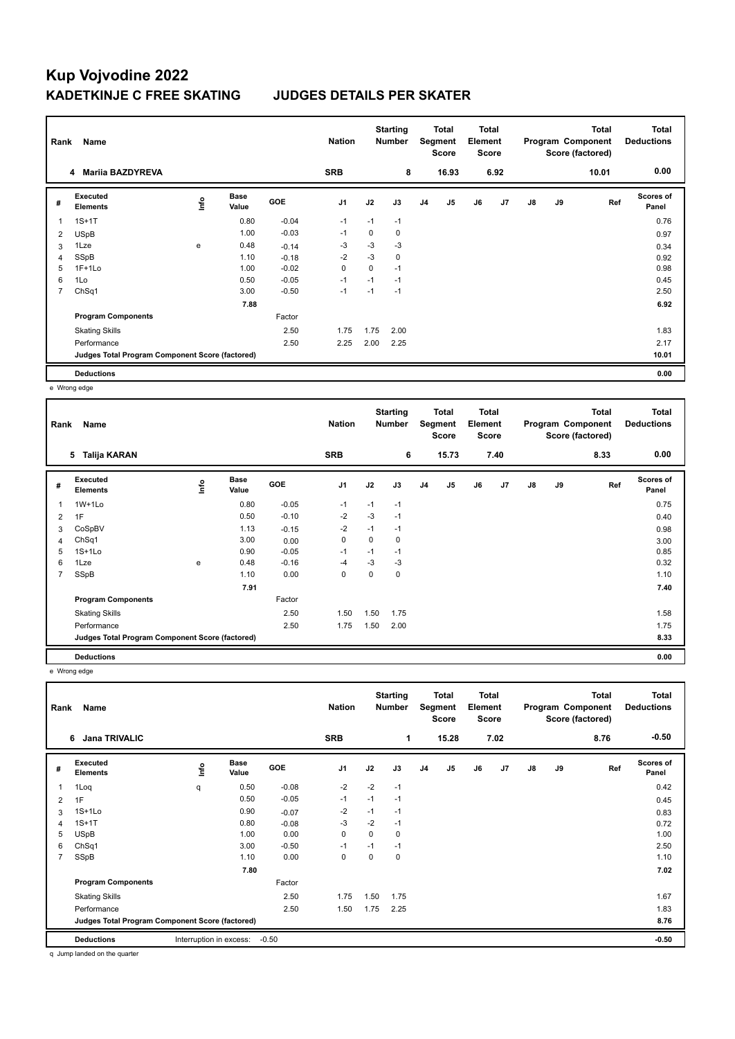| Rank           | Name                                            |      |                      |            | <b>Nation</b>  |      | <b>Starting</b><br><b>Number</b> |                | <b>Total</b><br>Segment<br><b>Score</b> | Total<br>Element<br><b>Score</b> |                |               |    | <b>Total</b><br>Program Component<br>Score (factored) | Total<br><b>Deductions</b> |
|----------------|-------------------------------------------------|------|----------------------|------------|----------------|------|----------------------------------|----------------|-----------------------------------------|----------------------------------|----------------|---------------|----|-------------------------------------------------------|----------------------------|
|                | <b>Mariia BAZDYREVA</b><br>4                    |      |                      |            | <b>SRB</b>     |      | 8                                |                | 16.93                                   |                                  | 6.92           |               |    | 10.01                                                 | 0.00                       |
| #              | Executed<br><b>Elements</b>                     | lnfo | <b>Base</b><br>Value | <b>GOE</b> | J <sub>1</sub> | J2   | J3                               | J <sub>4</sub> | J <sub>5</sub>                          | J6                               | J <sub>7</sub> | $\mathsf{J}8$ | J9 | Ref                                                   | <b>Scores of</b><br>Panel  |
|                | $1S+1T$                                         |      | 0.80                 | $-0.04$    | $-1$           | $-1$ | $-1$                             |                |                                         |                                  |                |               |    |                                                       | 0.76                       |
| 2              | <b>USpB</b>                                     |      | 1.00                 | $-0.03$    | -1             | 0    | 0                                |                |                                         |                                  |                |               |    |                                                       | 0.97                       |
| 3              | 1Lze                                            | e    | 0.48                 | $-0.14$    | -3             | $-3$ | $-3$                             |                |                                         |                                  |                |               |    |                                                       | 0.34                       |
| 4              | SSpB                                            |      | 1.10                 | $-0.18$    | $-2$           | $-3$ | 0                                |                |                                         |                                  |                |               |    |                                                       | 0.92                       |
| 5              | $1F+1Lo$                                        |      | 1.00                 | $-0.02$    | 0              | 0    | $-1$                             |                |                                         |                                  |                |               |    |                                                       | 0.98                       |
| 6              | 1Lo                                             |      | 0.50                 | $-0.05$    | $-1$           | $-1$ | $-1$                             |                |                                         |                                  |                |               |    |                                                       | 0.45                       |
| $\overline{7}$ | ChSq1                                           |      | 3.00                 | $-0.50$    | $-1$           | $-1$ | $-1$                             |                |                                         |                                  |                |               |    |                                                       | 2.50                       |
|                |                                                 |      | 7.88                 |            |                |      |                                  |                |                                         |                                  |                |               |    |                                                       | 6.92                       |
|                | <b>Program Components</b>                       |      |                      | Factor     |                |      |                                  |                |                                         |                                  |                |               |    |                                                       |                            |
|                | <b>Skating Skills</b>                           |      |                      | 2.50       | 1.75           | 1.75 | 2.00                             |                |                                         |                                  |                |               |    |                                                       | 1.83                       |
|                | Performance                                     |      |                      | 2.50       | 2.25           | 2.00 | 2.25                             |                |                                         |                                  |                |               |    |                                                       | 2.17                       |
|                | Judges Total Program Component Score (factored) |      |                      |            |                |      |                                  |                |                                         |                                  |                |               |    |                                                       | 10.01                      |
|                | <b>Deductions</b>                               |      |                      |            |                |      |                                  |                |                                         |                                  |                |               |    |                                                       | 0.00                       |

e Wrong edge

| Rank | Name                                            |      |                      |            | <b>Nation</b>  |      | <b>Starting</b><br><b>Number</b> |                | <b>Total</b><br>Segment<br>Score | <b>Total</b><br>Element<br>Score |                |               |    | <b>Total</b><br>Program Component<br>Score (factored) | <b>Total</b><br><b>Deductions</b> |
|------|-------------------------------------------------|------|----------------------|------------|----------------|------|----------------------------------|----------------|----------------------------------|----------------------------------|----------------|---------------|----|-------------------------------------------------------|-----------------------------------|
|      | Talija KARAN<br>5                               |      |                      |            | <b>SRB</b>     |      | 6                                |                | 15.73                            |                                  | 7.40           |               |    | 8.33                                                  | 0.00                              |
| #    | Executed<br><b>Elements</b>                     | ١nf٥ | <b>Base</b><br>Value | <b>GOE</b> | J <sub>1</sub> | J2   | J3                               | J <sub>4</sub> | J5                               | J6                               | J <sub>7</sub> | $\mathsf{J}8$ | J9 | Ref                                                   | Scores of<br>Panel                |
| 1    | $1W+1L0$                                        |      | 0.80                 | $-0.05$    | $-1$           | $-1$ | $-1$                             |                |                                  |                                  |                |               |    |                                                       | 0.75                              |
| 2    | 1F                                              |      | 0.50                 | $-0.10$    | $-2$           | $-3$ | $-1$                             |                |                                  |                                  |                |               |    |                                                       | 0.40                              |
| 3    | CoSpBV                                          |      | 1.13                 | $-0.15$    | $-2$           | $-1$ | $-1$                             |                |                                  |                                  |                |               |    |                                                       | 0.98                              |
| 4    | ChSq1                                           |      | 3.00                 | 0.00       | 0              | 0    | 0                                |                |                                  |                                  |                |               |    |                                                       | 3.00                              |
| 5    | $1S+1L0$                                        |      | 0.90                 | $-0.05$    | $-1$           | $-1$ | $-1$                             |                |                                  |                                  |                |               |    |                                                       | 0.85                              |
| 6    | 1Lze                                            | e    | 0.48                 | $-0.16$    | $-4$           | $-3$ | $-3$                             |                |                                  |                                  |                |               |    |                                                       | 0.32                              |
| 7    | SSpB                                            |      | 1.10                 | 0.00       | 0              | 0    | 0                                |                |                                  |                                  |                |               |    |                                                       | 1.10                              |
|      |                                                 |      | 7.91                 |            |                |      |                                  |                |                                  |                                  |                |               |    |                                                       | 7.40                              |
|      | <b>Program Components</b>                       |      |                      | Factor     |                |      |                                  |                |                                  |                                  |                |               |    |                                                       |                                   |
|      | <b>Skating Skills</b>                           |      |                      | 2.50       | 1.50           | 1.50 | 1.75                             |                |                                  |                                  |                |               |    |                                                       | 1.58                              |
|      | Performance                                     |      |                      | 2.50       | 1.75           | 1.50 | 2.00                             |                |                                  |                                  |                |               |    |                                                       | 1.75                              |
|      | Judges Total Program Component Score (factored) |      |                      |            |                |      |                                  |                |                                  |                                  |                |               |    |                                                       | 8.33                              |
|      | <b>Deductions</b>                               |      |                      |            |                |      |                                  |                |                                  |                                  |                |               |    |                                                       | 0.00                              |

e Wrong edge

| Rank           | Name                                            |                         |                      |         | <b>Nation</b>  |             | <b>Starting</b><br><b>Number</b> |                | <b>Total</b><br>Segment<br><b>Score</b> | <b>Total</b><br>Element<br><b>Score</b> |                |               |    | <b>Total</b><br>Program Component<br>Score (factored) | Total<br><b>Deductions</b> |
|----------------|-------------------------------------------------|-------------------------|----------------------|---------|----------------|-------------|----------------------------------|----------------|-----------------------------------------|-----------------------------------------|----------------|---------------|----|-------------------------------------------------------|----------------------------|
|                | <b>Jana TRIVALIC</b><br>6                       |                         |                      |         | <b>SRB</b>     |             | 1                                |                | 15.28                                   |                                         | 7.02           |               |    | 8.76                                                  | $-0.50$                    |
| #              | Executed<br><b>Elements</b>                     | lnfo                    | <b>Base</b><br>Value | GOE     | J <sub>1</sub> | J2          | J3                               | J <sub>4</sub> | J <sub>5</sub>                          | J6                                      | J <sub>7</sub> | $\mathsf{J}8$ | J9 | Ref                                                   | <b>Scores of</b><br>Panel  |
| 1              | 1Loq                                            | q                       | 0.50                 | $-0.08$ | $-2$           | $-2$        | $-1$                             |                |                                         |                                         |                |               |    |                                                       | 0.42                       |
| 2              | 1F                                              |                         | 0.50                 | $-0.05$ | $-1$           | $-1$        | $-1$                             |                |                                         |                                         |                |               |    |                                                       | 0.45                       |
| 3              | $1S+1Lo$                                        |                         | 0.90                 | $-0.07$ | $-2$           | $-1$        | $-1$                             |                |                                         |                                         |                |               |    |                                                       | 0.83                       |
| 4              | $1S+1T$                                         |                         | 0.80                 | $-0.08$ | -3             | $-2$        | $-1$                             |                |                                         |                                         |                |               |    |                                                       | 0.72                       |
| 5              | <b>USpB</b>                                     |                         | 1.00                 | 0.00    | $\mathbf 0$    | $\mathbf 0$ | 0                                |                |                                         |                                         |                |               |    |                                                       | 1.00                       |
| 6              | ChSq1                                           |                         | 3.00                 | $-0.50$ | -1             | $-1$        | $-1$                             |                |                                         |                                         |                |               |    |                                                       | 2.50                       |
| $\overline{7}$ | SSpB                                            |                         | 1.10                 | 0.00    | 0              | 0           | 0                                |                |                                         |                                         |                |               |    |                                                       | 1.10                       |
|                |                                                 |                         | 7.80                 |         |                |             |                                  |                |                                         |                                         |                |               |    |                                                       | 7.02                       |
|                | <b>Program Components</b>                       |                         |                      | Factor  |                |             |                                  |                |                                         |                                         |                |               |    |                                                       |                            |
|                | <b>Skating Skills</b>                           |                         |                      | 2.50    | 1.75           | 1.50        | 1.75                             |                |                                         |                                         |                |               |    |                                                       | 1.67                       |
|                | Performance                                     |                         |                      | 2.50    | 1.50           | 1.75        | 2.25                             |                |                                         |                                         |                |               |    |                                                       | 1.83                       |
|                | Judges Total Program Component Score (factored) |                         |                      |         |                |             |                                  |                |                                         |                                         |                |               |    |                                                       | 8.76                       |
|                | <b>Deductions</b>                               | Interruption in excess: |                      | $-0.50$ |                |             |                                  |                |                                         |                                         |                |               |    |                                                       | $-0.50$                    |

q Jump landed on the quarter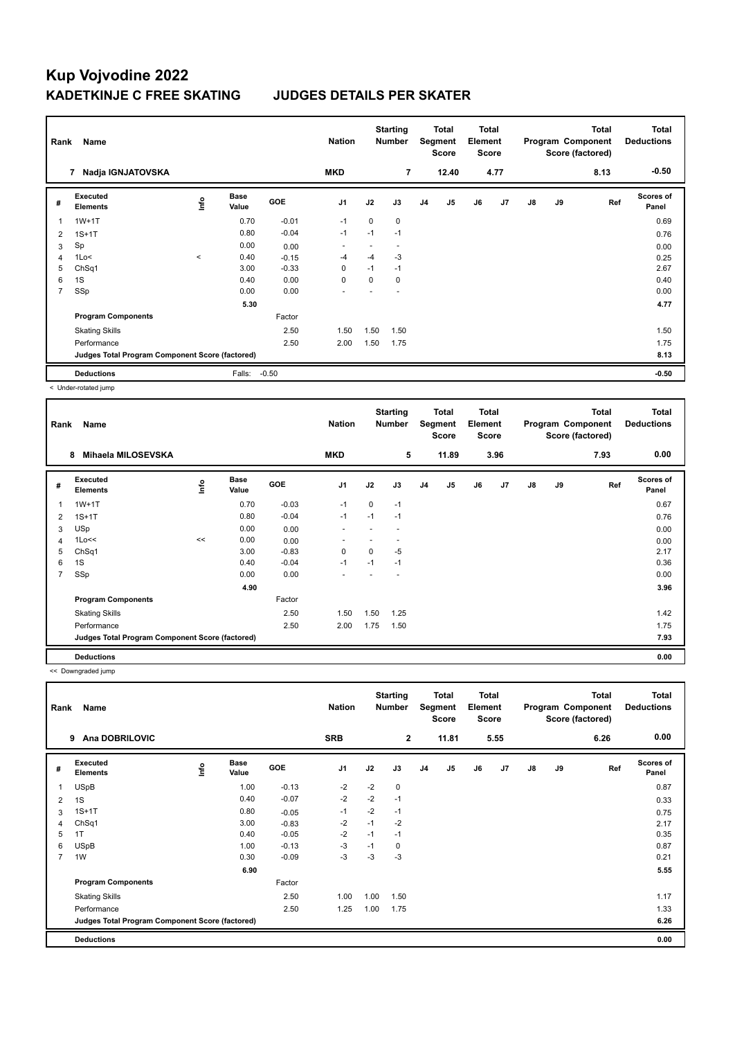| Rank           | Name                                            |         |                      |            | <b>Nation</b>  |             | <b>Starting</b><br><b>Number</b> |                | <b>Total</b><br>Segment<br><b>Score</b> | <b>Total</b><br>Element<br><b>Score</b> |                |               |    | <b>Total</b><br>Program Component<br>Score (factored) | <b>Total</b><br><b>Deductions</b> |
|----------------|-------------------------------------------------|---------|----------------------|------------|----------------|-------------|----------------------------------|----------------|-----------------------------------------|-----------------------------------------|----------------|---------------|----|-------------------------------------------------------|-----------------------------------|
|                | Nadja IGNJATOVSKA<br>7                          |         |                      |            | <b>MKD</b>     |             | $\overline{7}$                   |                | 12.40                                   |                                         | 4.77           |               |    | 8.13                                                  | $-0.50$                           |
| #              | Executed<br><b>Elements</b>                     | ۴       | <b>Base</b><br>Value | <b>GOE</b> | J <sub>1</sub> | J2          | J3                               | J <sub>4</sub> | J5                                      | J6                                      | J <sub>7</sub> | $\mathsf{J}8$ | J9 | Ref                                                   | <b>Scores of</b><br>Panel         |
|                | $1W+1T$                                         |         | 0.70                 | $-0.01$    | $-1$           | $\mathbf 0$ | 0                                |                |                                         |                                         |                |               |    |                                                       | 0.69                              |
| $\overline{2}$ | $1S+1T$                                         |         | 0.80                 | $-0.04$    | $-1$           | $-1$        | $-1$                             |                |                                         |                                         |                |               |    |                                                       | 0.76                              |
| 3              | Sp                                              |         | 0.00                 | 0.00       |                |             |                                  |                |                                         |                                         |                |               |    |                                                       | 0.00                              |
| 4              | 1Lo<                                            | $\prec$ | 0.40                 | $-0.15$    | $-4$           | $-4$        | $-3$                             |                |                                         |                                         |                |               |    |                                                       | 0.25                              |
| 5              | ChSq1                                           |         | 3.00                 | $-0.33$    | 0              | $-1$        | $-1$                             |                |                                         |                                         |                |               |    |                                                       | 2.67                              |
| 6              | 1S                                              |         | 0.40                 | 0.00       | $\mathbf 0$    | 0           | $\mathbf 0$                      |                |                                         |                                         |                |               |    |                                                       | 0.40                              |
| $\overline{7}$ | SSp                                             |         | 0.00                 | 0.00       | ٠              |             |                                  |                |                                         |                                         |                |               |    |                                                       | 0.00                              |
|                |                                                 |         | 5.30                 |            |                |             |                                  |                |                                         |                                         |                |               |    |                                                       | 4.77                              |
|                | <b>Program Components</b>                       |         |                      | Factor     |                |             |                                  |                |                                         |                                         |                |               |    |                                                       |                                   |
|                | <b>Skating Skills</b>                           |         |                      | 2.50       | 1.50           | 1.50        | 1.50                             |                |                                         |                                         |                |               |    |                                                       | 1.50                              |
|                | Performance                                     |         |                      | 2.50       | 2.00           | 1.50        | 1.75                             |                |                                         |                                         |                |               |    |                                                       | 1.75                              |
|                | Judges Total Program Component Score (factored) |         |                      |            |                |             |                                  |                |                                         |                                         |                |               |    |                                                       | 8.13                              |
|                | <b>Deductions</b>                               |         | Falls:               | $-0.50$    |                |             |                                  |                |                                         |                                         |                |               |    |                                                       | $-0.50$                           |

< Under-rotated jump

| Rank | Name                                            |                |                      |            | <b>Nation</b>            |          | <b>Starting</b><br><b>Number</b> |                | <b>Total</b><br>Segment<br><b>Score</b> | Total<br>Element<br><b>Score</b> |                |               |    | <b>Total</b><br>Program Component<br>Score (factored) | <b>Total</b><br><b>Deductions</b> |
|------|-------------------------------------------------|----------------|----------------------|------------|--------------------------|----------|----------------------------------|----------------|-----------------------------------------|----------------------------------|----------------|---------------|----|-------------------------------------------------------|-----------------------------------|
|      | Mihaela MILOSEVSKA<br>8                         |                |                      |            | <b>MKD</b>               |          | 5                                |                | 11.89                                   |                                  | 3.96           |               |    | 7.93                                                  | 0.00                              |
| #    | Executed<br><b>Elements</b>                     | $\frac{6}{10}$ | <b>Base</b><br>Value | <b>GOE</b> | J <sub>1</sub>           | J2       | J3                               | J <sub>4</sub> | J5                                      | J6                               | J <sub>7</sub> | $\mathsf{J}8$ | J9 | Ref                                                   | Scores of<br>Panel                |
| 1    | $1W+1T$                                         |                | 0.70                 | $-0.03$    | $-1$                     | $\Omega$ | $-1$                             |                |                                         |                                  |                |               |    |                                                       | 0.67                              |
| 2    | $1S+1T$                                         |                | 0.80                 | $-0.04$    | $-1$                     | $-1$     | $-1$                             |                |                                         |                                  |                |               |    |                                                       | 0.76                              |
| 3    | USp                                             |                | 0.00                 | 0.00       | $\overline{\phantom{a}}$ |          |                                  |                |                                         |                                  |                |               |    |                                                       | 0.00                              |
| 4    | 1Lo<<                                           | <<             | 0.00                 | 0.00       |                          |          | $\overline{\phantom{a}}$         |                |                                         |                                  |                |               |    |                                                       | 0.00                              |
| 5    | ChSq1                                           |                | 3.00                 | $-0.83$    | 0                        | 0        | $-5$                             |                |                                         |                                  |                |               |    |                                                       | 2.17                              |
| 6    | 1S                                              |                | 0.40                 | $-0.04$    | $-1$                     | $-1$     | $-1$                             |                |                                         |                                  |                |               |    |                                                       | 0.36                              |
| 7    | SSp                                             |                | 0.00                 | 0.00       |                          |          |                                  |                |                                         |                                  |                |               |    |                                                       | 0.00                              |
|      |                                                 |                | 4.90                 |            |                          |          |                                  |                |                                         |                                  |                |               |    |                                                       | 3.96                              |
|      | <b>Program Components</b>                       |                |                      | Factor     |                          |          |                                  |                |                                         |                                  |                |               |    |                                                       |                                   |
|      | <b>Skating Skills</b>                           |                |                      | 2.50       | 1.50                     | 1.50     | 1.25                             |                |                                         |                                  |                |               |    |                                                       | 1.42                              |
|      | Performance                                     |                |                      | 2.50       | 2.00                     | 1.75     | 1.50                             |                |                                         |                                  |                |               |    |                                                       | 1.75                              |
|      | Judges Total Program Component Score (factored) |                |                      |            |                          |          |                                  |                |                                         |                                  |                |               |    |                                                       | 7.93                              |
|      | <b>Deductions</b>                               |                |                      |            |                          |          |                                  |                |                                         |                                  |                |               |    |                                                       | 0.00                              |

<< Downgraded jump

| Rank           | Name                                            |   |                      |            | <b>Nation</b>  |      | <b>Starting</b><br><b>Number</b> |                | Total<br>Segment<br><b>Score</b> | <b>Total</b><br>Element<br><b>Score</b> |                |               |    | <b>Total</b><br>Program Component<br>Score (factored) | <b>Total</b><br><b>Deductions</b> |
|----------------|-------------------------------------------------|---|----------------------|------------|----------------|------|----------------------------------|----------------|----------------------------------|-----------------------------------------|----------------|---------------|----|-------------------------------------------------------|-----------------------------------|
|                | <b>Ana DOBRILOVIC</b><br>9                      |   |                      |            | <b>SRB</b>     |      | $\overline{2}$                   |                | 11.81                            |                                         | 5.55           |               |    | 6.26                                                  | 0.00                              |
| #              | <b>Executed</b><br><b>Elements</b>              | ۴ | <b>Base</b><br>Value | <b>GOE</b> | J <sub>1</sub> | J2   | J3                               | J <sub>4</sub> | J5                               | J6                                      | J <sub>7</sub> | $\mathsf{J}8$ | J9 | Ref                                                   | <b>Scores of</b><br>Panel         |
| 1              | <b>USpB</b>                                     |   | 1.00                 | $-0.13$    | $-2$           | $-2$ | 0                                |                |                                  |                                         |                |               |    |                                                       | 0.87                              |
| 2              | 1S                                              |   | 0.40                 | $-0.07$    | $-2$           | $-2$ | $-1$                             |                |                                  |                                         |                |               |    |                                                       | 0.33                              |
| 3              | $1S+1T$                                         |   | 0.80                 | $-0.05$    | $-1$           | $-2$ | $-1$                             |                |                                  |                                         |                |               |    |                                                       | 0.75                              |
| 4              | ChSq1                                           |   | 3.00                 | $-0.83$    | $-2$           | $-1$ | $-2$                             |                |                                  |                                         |                |               |    |                                                       | 2.17                              |
| 5              | 1T                                              |   | 0.40                 | $-0.05$    | $-2$           | $-1$ | $-1$                             |                |                                  |                                         |                |               |    |                                                       | 0.35                              |
| 6              | <b>USpB</b>                                     |   | 1.00                 | $-0.13$    | -3             | $-1$ | 0                                |                |                                  |                                         |                |               |    |                                                       | 0.87                              |
| $\overline{7}$ | 1W                                              |   | 0.30                 | $-0.09$    | $-3$           | $-3$ | $-3$                             |                |                                  |                                         |                |               |    |                                                       | 0.21                              |
|                |                                                 |   | 6.90                 |            |                |      |                                  |                |                                  |                                         |                |               |    |                                                       | 5.55                              |
|                | <b>Program Components</b>                       |   |                      | Factor     |                |      |                                  |                |                                  |                                         |                |               |    |                                                       |                                   |
|                | <b>Skating Skills</b>                           |   |                      | 2.50       | 1.00           | 1.00 | 1.50                             |                |                                  |                                         |                |               |    |                                                       | 1.17                              |
|                | Performance                                     |   |                      | 2.50       | 1.25           | 1.00 | 1.75                             |                |                                  |                                         |                |               |    |                                                       | 1.33                              |
|                | Judges Total Program Component Score (factored) |   |                      |            |                |      |                                  |                |                                  |                                         |                |               |    |                                                       | 6.26                              |
|                | <b>Deductions</b>                               |   |                      |            |                |      |                                  |                |                                  |                                         |                |               |    |                                                       | 0.00                              |